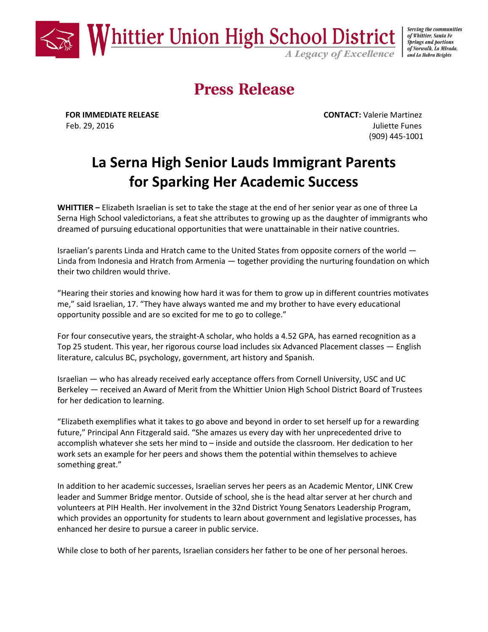

#### of Whittier, Santa Fe **Springs and portions** of Norwalk, La Mirada, and La Habra Heights

# **Press Release**

**FOR IMMEDIATE RELEASE CONTACT:** Valerie Martinez Feb. 29, 2016 **Juliette Funes** (909) 445-1001

## **La Serna High Senior Lauds Immigrant Parents for Sparking Her Academic Success**

**WHITTIER –** Elizabeth Israelian is set to take the stage at the end of her senior year as one of three La Serna High School valedictorians, a feat she attributes to growing up as the daughter of immigrants who dreamed of pursuing educational opportunities that were unattainable in their native countries.

Israelian's parents Linda and Hratch came to the United States from opposite corners of the world — Linda from Indonesia and Hratch from Armenia — together providing the nurturing foundation on which their two children would thrive.

"Hearing their stories and knowing how hard it was for them to grow up in different countries motivates me," said Israelian, 17. "They have always wanted me and my brother to have every educational opportunity possible and are so excited for me to go to college."

For four consecutive years, the straight-A scholar, who holds a 4.52 GPA, has earned recognition as a Top 25 student. This year, her rigorous course load includes six Advanced Placement classes — English literature, calculus BC, psychology, government, art history and Spanish.

Israelian — who has already received early acceptance offers from Cornell University, USC and UC Berkeley — received an Award of Merit from the Whittier Union High School District Board of Trustees for her dedication to learning.

"Elizabeth exemplifies what it takes to go above and beyond in order to set herself up for a rewarding future," Principal Ann Fitzgerald said. "She amazes us every day with her unprecedented drive to accomplish whatever she sets her mind to – inside and outside the classroom. Her dedication to her work sets an example for her peers and shows them the potential within themselves to achieve something great."

In addition to her academic successes, Israelian serves her peers as an Academic Mentor, LINK Crew leader and Summer Bridge mentor. Outside of school, she is the head altar server at her church and volunteers at PIH Health. Her involvement in the 32nd District Young Senators Leadership Program, which provides an opportunity for students to learn about government and legislative processes, has enhanced her desire to pursue a career in public service.

While close to both of her parents, Israelian considers her father to be one of her personal heroes.